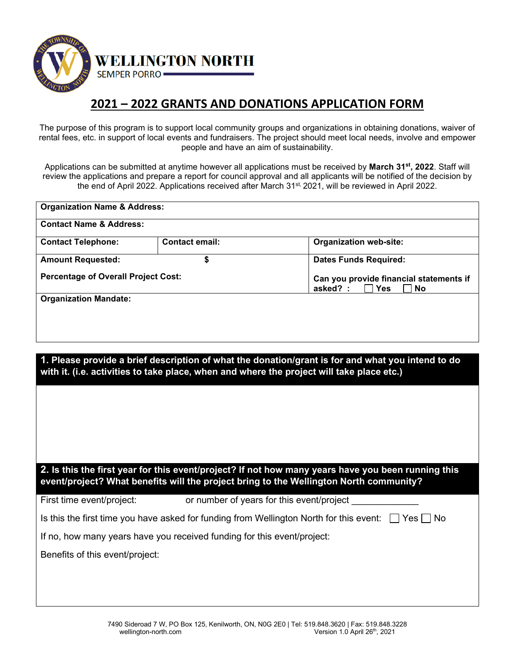

## **2021 – 2022 GRANTS AND DONATIONS APPLICATION FORM**

The purpose of this program is to support local community groups and organizations in obtaining donations, waiver of rental fees, etc. in support of local events and fundraisers. The project should meet local needs, involve and empower people and have an aim of sustainability.

Applications can be submitted at anytime however all applications must be received by **March 31st, 2022**. Staff will review the applications and prepare a report for council approval and all applicants will be notified of the decision by the end of April 2022. Applications received after March 31st, 2021, will be reviewed in April 2022.

| <b>Organization Name &amp; Address:</b>                                                                                                                                                        |                                           |          |                                                                    |  |  |
|------------------------------------------------------------------------------------------------------------------------------------------------------------------------------------------------|-------------------------------------------|----------|--------------------------------------------------------------------|--|--|
| <b>Contact Name &amp; Address:</b>                                                                                                                                                             |                                           |          |                                                                    |  |  |
| <b>Contact Telephone:</b>                                                                                                                                                                      | <b>Contact email:</b>                     |          | <b>Organization web-site:</b>                                      |  |  |
| <b>Amount Requested:</b>                                                                                                                                                                       | \$                                        |          | <b>Dates Funds Required:</b>                                       |  |  |
| <b>Percentage of Overall Project Cost:</b>                                                                                                                                                     |                                           | asked? : | Can you provide financial statements if<br><b>Yes</b><br><b>No</b> |  |  |
| <b>Organization Mandate:</b>                                                                                                                                                                   |                                           |          |                                                                    |  |  |
| 1. Please provide a brief description of what the donation/grant is for and what you intend to do<br>with it. (i.e. activities to take place, when and where the project will take place etc.) |                                           |          |                                                                    |  |  |
|                                                                                                                                                                                                |                                           |          |                                                                    |  |  |
|                                                                                                                                                                                                |                                           |          |                                                                    |  |  |
| 2. Is this the first year for this event/project? If not how many years have you been running this<br>event/project? What benefits will the project bring to the Wellington North community?   |                                           |          |                                                                    |  |  |
| First time event/project:                                                                                                                                                                      | or number of years for this event/project |          |                                                                    |  |  |
| Is this the first time you have asked for funding from Wellington North for this event:<br>Yes l<br>∣No                                                                                        |                                           |          |                                                                    |  |  |
| If no, how many years have you received funding for this event/project:                                                                                                                        |                                           |          |                                                                    |  |  |
| Benefits of this event/project:                                                                                                                                                                |                                           |          |                                                                    |  |  |
|                                                                                                                                                                                                |                                           |          |                                                                    |  |  |
|                                                                                                                                                                                                |                                           |          |                                                                    |  |  |
|                                                                                                                                                                                                |                                           |          |                                                                    |  |  |